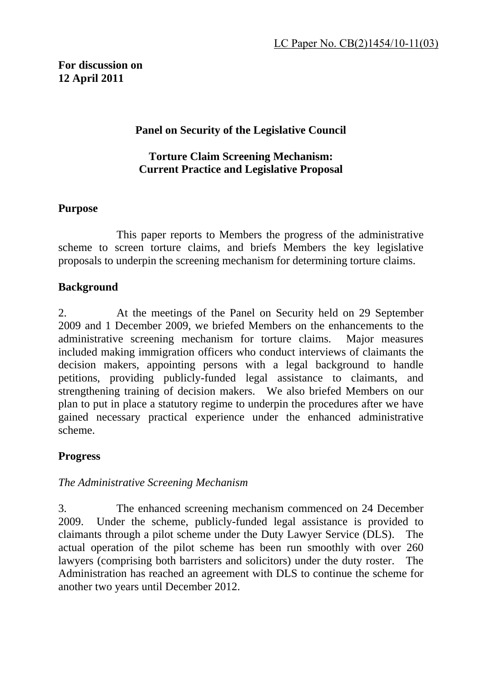# **For discussion on 12 April 2011**

### **Panel on Security of the Legislative Council**

#### **Torture Claim Screening Mechanism: Current Practice and Legislative Proposal**

#### **Purpose**

 This paper reports to Members the progress of the administrative scheme to screen torture claims, and briefs Members the key legislative proposals to underpin the screening mechanism for determining torture claims.

### **Background**

2. At the meetings of the Panel on Security held on 29 September 2009 and 1 December 2009, we briefed Members on the enhancements to the administrative screening mechanism for torture claims. Major measures included making immigration officers who conduct interviews of claimants the decision makers, appointing persons with a legal background to handle petitions, providing publicly-funded legal assistance to claimants, and strengthening training of decision makers. We also briefed Members on our plan to put in place a statutory regime to underpin the procedures after we have gained necessary practical experience under the enhanced administrative scheme.

## **Progress**

#### *The Administrative Screening Mechanism*

3. The enhanced screening mechanism commenced on 24 December 2009. Under the scheme, publicly-funded legal assistance is provided to claimants through a pilot scheme under the Duty Lawyer Service (DLS). The actual operation of the pilot scheme has been run smoothly with over 260 lawyers (comprising both barristers and solicitors) under the duty roster. The Administration has reached an agreement with DLS to continue the scheme for another two years until December 2012.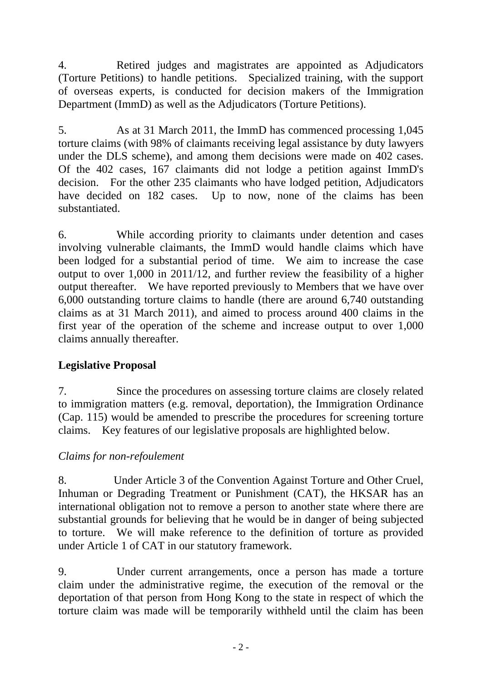4. Retired judges and magistrates are appointed as Adjudicators (Torture Petitions) to handle petitions. Specialized training, with the support of overseas experts, is conducted for decision makers of the Immigration Department (ImmD) as well as the Adjudicators (Torture Petitions).

5. As at 31 March 2011, the ImmD has commenced processing 1,045 torture claims (with 98% of claimants receiving legal assistance by duty lawyers under the DLS scheme), and among them decisions were made on 402 cases. Of the 402 cases, 167 claimants did not lodge a petition against ImmD's decision. For the other 235 claimants who have lodged petition, Adjudicators have decided on 182 cases. Up to now, none of the claims has been substantiated.

6. While according priority to claimants under detention and cases involving vulnerable claimants, the ImmD would handle claims which have been lodged for a substantial period of time. We aim to increase the case output to over 1,000 in 2011/12, and further review the feasibility of a higher output thereafter. We have reported previously to Members that we have over 6,000 outstanding torture claims to handle (there are around 6,740 outstanding claims as at 31 March 2011), and aimed to process around 400 claims in the first year of the operation of the scheme and increase output to over 1,000 claims annually thereafter.

## **Legislative Proposal**

7. Since the procedures on assessing torture claims are closely related to immigration matters (e.g. removal, deportation), the Immigration Ordinance (Cap. 115) would be amended to prescribe the procedures for screening torture claims. Key features of our legislative proposals are highlighted below.

## *Claims for non-refoulement*

8. Under Article 3 of the Convention Against Torture and Other Cruel, Inhuman or Degrading Treatment or Punishment (CAT), the HKSAR has an international obligation not to remove a person to another state where there are substantial grounds for believing that he would be in danger of being subjected to torture. We will make reference to the definition of torture as provided under Article 1 of CAT in our statutory framework.

9. Under current arrangements, once a person has made a torture claim under the administrative regime, the execution of the removal or the deportation of that person from Hong Kong to the state in respect of which the torture claim was made will be temporarily withheld until the claim has been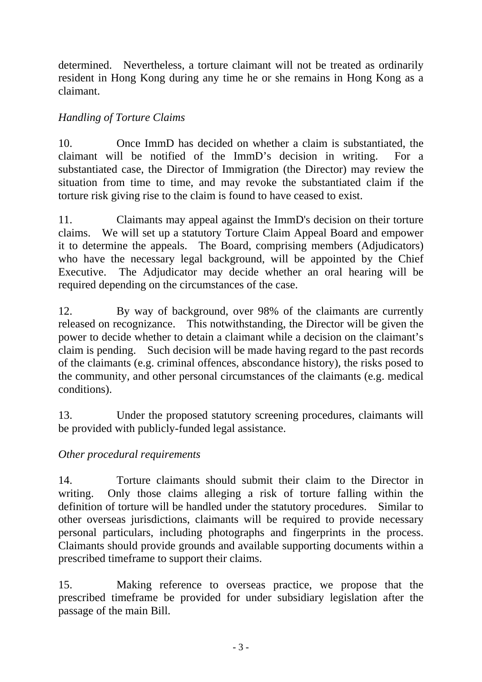determined. Nevertheless, a torture claimant will not be treated as ordinarily resident in Hong Kong during any time he or she remains in Hong Kong as a claimant.

# *Handling of Torture Claims*

10. Once ImmD has decided on whether a claim is substantiated, the claimant will be notified of the ImmD's decision in writing. For a substantiated case, the Director of Immigration (the Director) may review the situation from time to time, and may revoke the substantiated claim if the torture risk giving rise to the claim is found to have ceased to exist.

11. Claimants may appeal against the ImmD's decision on their torture claims. We will set up a statutory Torture Claim Appeal Board and empower it to determine the appeals. The Board, comprising members (Adjudicators) who have the necessary legal background, will be appointed by the Chief Executive. The Adjudicator may decide whether an oral hearing will be required depending on the circumstances of the case.

12. By way of background, over 98% of the claimants are currently released on recognizance. This notwithstanding, the Director will be given the power to decide whether to detain a claimant while a decision on the claimant's claim is pending. Such decision will be made having regard to the past records of the claimants (e.g. criminal offences, abscondance history), the risks posed to the community, and other personal circumstances of the claimants (e.g. medical conditions).

13. Under the proposed statutory screening procedures, claimants will be provided with publicly-funded legal assistance.

## *Other procedural requirements*

14. Torture claimants should submit their claim to the Director in writing. Only those claims alleging a risk of torture falling within the definition of torture will be handled under the statutory procedures. Similar to other overseas jurisdictions, claimants will be required to provide necessary personal particulars, including photographs and fingerprints in the process. Claimants should provide grounds and available supporting documents within a prescribed timeframe to support their claims.

15. Making reference to overseas practice, we propose that the prescribed timeframe be provided for under subsidiary legislation after the passage of the main Bill.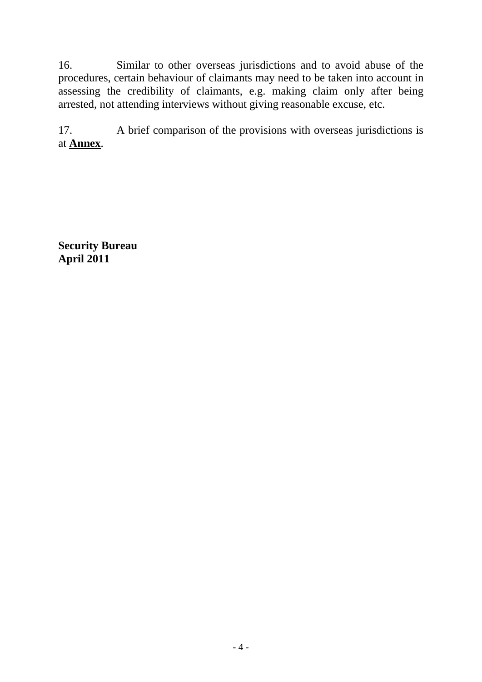16. Similar to other overseas jurisdictions and to avoid abuse of the procedures, certain behaviour of claimants may need to be taken into account in assessing the credibility of claimants, e.g. making claim only after being arrested, not attending interviews without giving reasonable excuse, etc.

17. A brief comparison of the provisions with overseas jurisdictions is at **Annex**.

**Security Bureau April 2011**